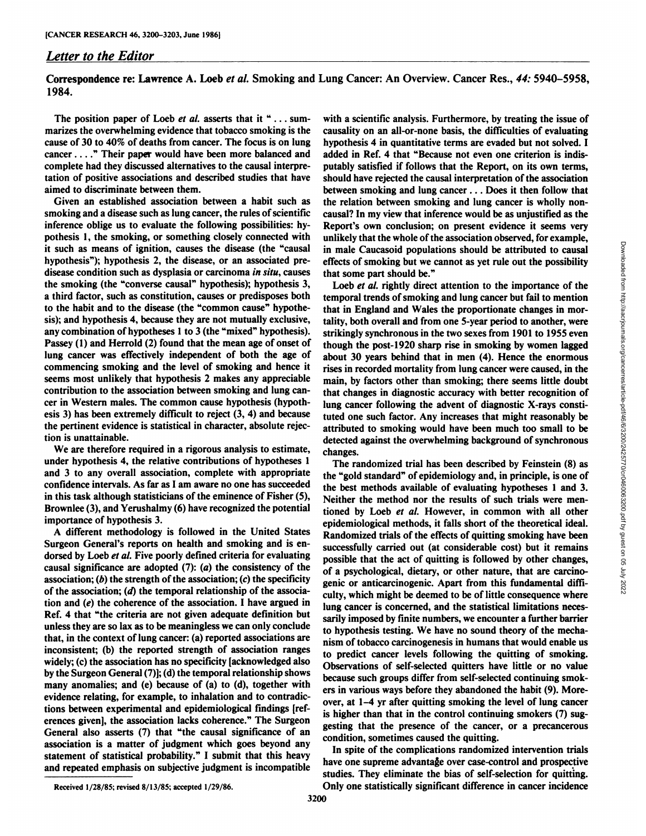## *Letter to the Editor*

Correspondence re: Lawrence A. Loeb et al. Smoking and Lung Cancer: An Overview. Cancer Res., 44: 5940–5958, 1984.

The position paper of Loeb et al. asserts that it "... summarizes the overwhelming evidence that tobacco smoking is the cause of 30 to 40% of deaths from cancer. The focus is on lung cancer . . . ."Their paper would have been more balanced and complete had they discussed alternatives to the causal interpre tation of positive associations and described studies that have aimed to discriminate between them.

Given an established association between a habit such as smoking and a disease such as lung cancer, the rules of scientific inference oblige us to evaluate the following possibilities: hy pothesis 1, the smoking, or something closely connected with it such as means of ignition, causes the disease (the "causal hypothesis"); hypothesis 2, the disease, or an associated predisease condition such as dysplasia or carcinoma in situ, causes the smoking (the "converse causal" hypothesis); hypothesis 3, a third factor, such as constitution, causes or predisposes both to the habit and to the disease (the "common cause" hypothesis); and hypothesis 4, because they are not mutually exclusive, any combination of hypotheses 1 to 3 (the "mixed" hypothesis). Passey (1) and Herrold (2) found that the mean age of onset of lung cancer was effectively independent of both the age of commencing smoking and the level of smoking and hence itseems most unlikely that hypothesis <sup>2</sup> makes any appreciable contribution to the association between smoking and lung can cer in Western males. The common cause hypothesis (hypoth esis 3) has been extremely difficult to reject (3, 4) and because the pertinent evidence is statistical in character, absolute rejec tion is unattainable.

We are therefore required in a rigorous analysis to estimate, under hypothesis 4, the relative contributions of hypotheses 1 and 3 to any overall association, complete with appropriate confidence intervals. As far as I am aware no one has succeeded in this task although statisticians of the eminence of Fisher (5), Brownlee (3), and Yerushalmy (6) have recognized the potential importance of hypothesis 3.

**A different methodology is followed in the United States** Surgeon General's reports on health and smoking and is en dorsed by Loeb et al. Five poorly defined criteria for evaluating causal significance are adopted  $(7)$ :  $(a)$  the consistency of the association; (b) the strength of the association;  $(c)$  the specificity of the association;  $(d)$  the temporal relationship of the association and (e) the coherence of the association. I have argued in Ref. 4 that "the criteria are not given adequate definition but unless they are so lax as to be meaningless we can only conclude that, in the context of lung cancer: (a) reported associations are inconsistent; (b) the reported strength of association ranges widely; (c) the association has no specificity [acknowledged also by the Surgeon General (7)]; (d) the temporal relationship shows many anomalies; and (e) because of (a) to (d), together with evidence relating, for example, to inhalation and to contradic tions between experimental and epidemiological findings [ref erences given], the association lacks coherence." The Surgeon General also asserts (7) that "the causal significance of an association is a matter of judgment which goes beyond any statement of statistical probability." I submit that this heavy and repeated emphasis on subjective judgment is incompatible with a scientific analysis. Furthermore, by treating the issue of causality on an all-or-none basis, the difficulties of evaluating hypothesis 4 in quantitative terms are evaded but not solved. I added in Ref. 4 that "Because not even one criterion is indisputably satisfied if follows that the Report, on its own terms, should have rejected the causal interpretation of the association between smoking and lung cancer . . . Does it then follow that the relation between smoking and lung cancer is wholly non causal? In my view that inference would be as unjustified as the Report's own conclusion; on present evidence it seems very unlikely that the whole of the association observed, for example, in male Caucasoid populations should be attributed to causal that some part should be."

in male Caucasoid populations should be attributed to causal<br>in male Caucasoid populations should be attributed to causal<br>effects of smoking but we cannot as yet rule out the possibility<br> $\text{Lobe } t dt$ . Reach as  $\text{m of the top of the top of the$ Loeb et al. rightly direct attention to the importance of the temporal trends of smoking and lung cancer but fail to mention that in England and Wales the proportionate changes in mor tality, both overall and from one 5-year period to another, were strikingly synchronous in the two sexes from 1901 to 1955 even though the post-1920 sharp rise in smoking by women lagged about 30 years behind that in men (4). Hence the enormous rises in recorded mortality from lung cancer were caused, in the main, by factors other than smoking; there seems little doubt that changes in diagnostic accuracy with better recognition of lung cancer following the advent of diagnostic X-rays consti tuted one such factor. Any increases that might reasonably be attributed to smoking would have been much too small to be detected against the overwhelming background of synchronous changes.

The randomized trial has been described by Feinstein (8) as the "gold standard" of epidemiology and, in principle, is one of the best methods available of evaluating hypotheses 1 and 3. Neither the method nor the results of such trials were men tioned by Loeb et al. However, in common with all other epidemiological methods, it falls short of the theoretical ideal. Randomized trials of the effects of quitting smoking have been successfully carried out (at considerable cost) but it remains possible that the act of quitting is followed by other changes, of a psychological, dietary, or other nature, that are carcino genic or anticarcinogenic. Apart from this fundamental diffi culty, which might be deemed to be of little consequence where lung cancer is concerned, and the statistical limitations neces sarily imposed by finite numbers, we encounter a further barrier to hypothesis testing. We have no sound theory of the mecha nism of tobacco carcinogenesis in humans that would enable us to predict cancer levels following the quitting of smoking. Observations of self-selected quitters have little or no value because such groups differ from self-selected continuing smok ers in various ways before they abandoned the habit (9). More over, at 1—4yr after quitting smoking the level of lung cancer is higher than that in the control continuing smokers (7) sug gesting that the presence of the cancer, or a precancerous condition, sometimes caused the quitting.

In spite of the complications randomized intervention trials have one supreme advantage over case-control and prospective studies. They eliminate the bias of self-selection for quitting. Received 1/28/85; revised 8/13/85; accepted 1/29/86. Only one statistically significant difference in cancer incidence